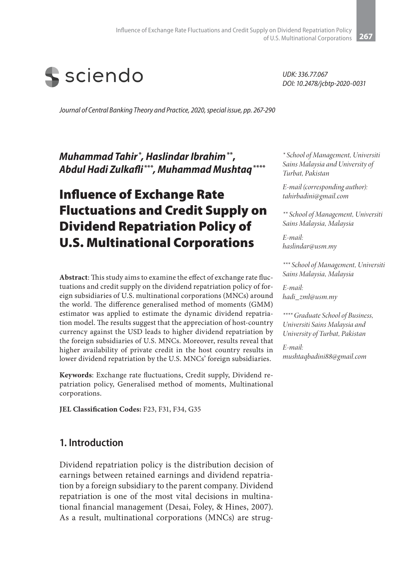

*UDK: 336.77.067 DOI: 10.2478/jcbtp-2020-0031*

*Journal of Central Banking Theory and Practice, 2020, special issue, pp. 267-290*

*Muhammad Tahir* **\*** *, Haslindar Ibrahim***\*\*,** *Abdul Hadi Zulkafli* **\*\*\****, Muhammad Mushtaq***\*\*\*\***

# Influence of Exchange Rate Fluctuations and Credit Supply on Dividend Repatriation Policy of U.S. Multinational Corporations

**Abstract**: This study aims to examine the effect of exchange rate fluctuations and credit supply on the dividend repatriation policy of foreign subsidiaries of U.S. multinational corporations (MNCs) around the world. The difference generalised method of moments (GMM) estimator was applied to estimate the dynamic dividend repatriation model. The results suggest that the appreciation of host-country currency against the USD leads to higher dividend repatriation by the foreign subsidiaries of U.S. MNCs. Moreover, results reveal that higher availability of private credit in the host country results in lower dividend repatriation by the U.S. MNCs' foreign subsidiaries.

**Keywords**: Exchange rate fluctuations, Credit supply, Dividend repatriation policy, Generalised method of moments, Multinational corporations.

**JEL Classification Codes:** F23, F31, F34, G35

### **1. Introduction**

Dividend repatriation policy is the distribution decision of earnings between retained earnings and dividend repatriation by a foreign subsidiary to the parent company. Dividend repatriation is one of the most vital decisions in multinational financial management (Desai, Foley, & Hines, 2007). As a result, multinational corporations (MNCs) are strug-

*\* School of Management, Universiti Sains Malaysia and University of Turbat, Pakistan*

*E-mail (corresponding author): tahirbadini@gmail.com*

*\*\* School of Management, Universiti Sains Malaysia, Malaysia*

*E-mail: haslindar@usm.my*

*\*\*\* School of Management, Universiti Sains Malaysia, Malaysia*

*E-mail: hadi\_zml@usm.my*

*\*\*\*\* Graduate School of Business, Universiti Sains Malaysia and University of Turbat, Pakistan*

*E-mail: mushtaqbadini88@gmail.com*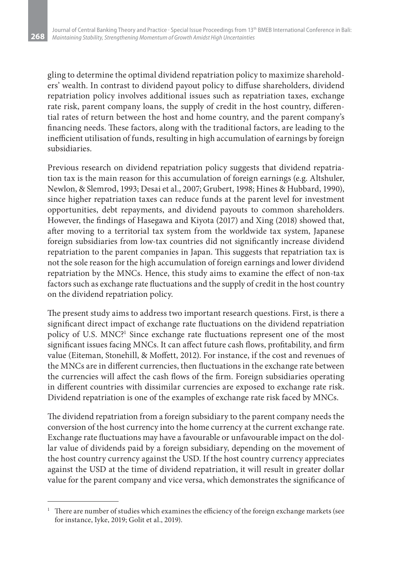**268**

gling to determine the optimal dividend repatriation policy to maximize shareholders' wealth. In contrast to dividend payout policy to diffuse shareholders, dividend repatriation policy involves additional issues such as repatriation taxes, exchange rate risk, parent company loans, the supply of credit in the host country, differential rates of return between the host and home country, and the parent company's financing needs. These factors, along with the traditional factors, are leading to the inefficient utilisation of funds, resulting in high accumulation of earnings by foreign subsidiaries.

Previous research on dividend repatriation policy suggests that dividend repatriation tax is the main reason for this accumulation of foreign earnings (e.g. Altshuler, Newlon, & Slemrod, 1993; Desai et al., 2007; Grubert, 1998; Hines & Hubbard, 1990), since higher repatriation taxes can reduce funds at the parent level for investment opportunities, debt repayments, and dividend payouts to common shareholders. However, the findings of Hasegawa and Kiyota (2017) and Xing (2018) showed that, after moving to a territorial tax system from the worldwide tax system, Japanese foreign subsidiaries from low-tax countries did not significantly increase dividend repatriation to the parent companies in Japan. This suggests that repatriation tax is not the sole reason for the high accumulation of foreign earnings and lower dividend repatriation by the MNCs. Hence, this study aims to examine the effect of non-tax factors such as exchange rate fluctuations and the supply of credit in the host country on the dividend repatriation policy.

The present study aims to address two important research questions. First, is there a significant direct impact of exchange rate fluctuations on the dividend repatriation policy of U.S. MNC?<sup>1</sup> Since exchange rate fluctuations represent one of the most significant issues facing MNCs. It can affect future cash flows, profitability, and firm value (Eiteman, Stonehill, & Moffett, 2012). For instance, if the cost and revenues of the MNCs are in different currencies, then fluctuations in the exchange rate between the currencies will affect the cash flows of the firm. Foreign subsidiaries operating in different countries with dissimilar currencies are exposed to exchange rate risk. Dividend repatriation is one of the examples of exchange rate risk faced by MNCs.

The dividend repatriation from a foreign subsidiary to the parent company needs the conversion of the host currency into the home currency at the current exchange rate. Exchange rate fluctuations may have a favourable or unfavourable impact on the dollar value of dividends paid by a foreign subsidiary, depending on the movement of the host country currency against the USD. If the host country currency appreciates against the USD at the time of dividend repatriation, it will result in greater dollar value for the parent company and vice versa, which demonstrates the significance of

<sup>&</sup>lt;sup>1</sup> There are number of studies which examines the efficiency of the foreign exchange markets (see for instance, Iyke, 2019; Golit et al., 2019).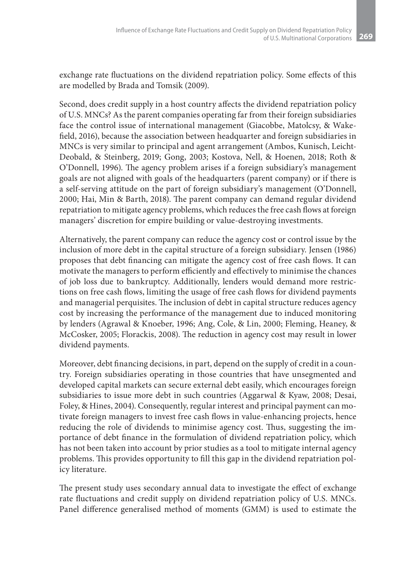exchange rate fluctuations on the dividend repatriation policy. Some effects of this are modelled by Brada and Tomsik (2009).

Second, does credit supply in a host country affects the dividend repatriation policy of U.S. MNCs? As the parent companies operating far from their foreign subsidiaries face the control issue of international management (Giacobbe, Matolcsy, & Wakefield, 2016), because the association between headquarter and foreign subsidiaries in MNCs is very similar to principal and agent arrangement (Ambos, Kunisch, Leicht-Deobald, & Steinberg, 2019; Gong, 2003; Kostova, Nell, & Hoenen, 2018; Roth & O'Donnell, 1996). The agency problem arises if a foreign subsidiary's management goals are not aligned with goals of the headquarters (parent company) or if there is a self-serving attitude on the part of foreign subsidiary's management (O'Donnell, 2000; Hai, Min & Barth, 2018). The parent company can demand regular dividend repatriation to mitigate agency problems, which reduces the free cash flows at foreign managers' discretion for empire building or value-destroying investments.

Alternatively, the parent company can reduce the agency cost or control issue by the inclusion of more debt in the capital structure of a foreign subsidiary. Jensen (1986) proposes that debt financing can mitigate the agency cost of free cash flows. It can motivate the managers to perform efficiently and effectively to minimise the chances of job loss due to bankruptcy. Additionally, lenders would demand more restrictions on free cash flows, limiting the usage of free cash flows for dividend payments and managerial perquisites. The inclusion of debt in capital structure reduces agency cost by increasing the performance of the management due to induced monitoring by lenders (Agrawal & Knoeber, 1996; Ang, Cole, & Lin, 2000; Fleming, Heaney, & McCosker, 2005; Florackis, 2008). The reduction in agency cost may result in lower dividend payments.

Moreover, debt financing decisions, in part, depend on the supply of credit in a country. Foreign subsidiaries operating in those countries that have unsegmented and developed capital markets can secure external debt easily, which encourages foreign subsidiaries to issue more debt in such countries (Aggarwal & Kyaw, 2008; Desai, Foley, & Hines, 2004). Consequently, regular interest and principal payment can motivate foreign managers to invest free cash flows in value-enhancing projects, hence reducing the role of dividends to minimise agency cost. Thus, suggesting the importance of debt finance in the formulation of dividend repatriation policy, which has not been taken into account by prior studies as a tool to mitigate internal agency problems. This provides opportunity to fill this gap in the dividend repatriation policy literature.

The present study uses secondary annual data to investigate the effect of exchange rate fluctuations and credit supply on dividend repatriation policy of U.S. MNCs. Panel difference generalised method of moments (GMM) is used to estimate the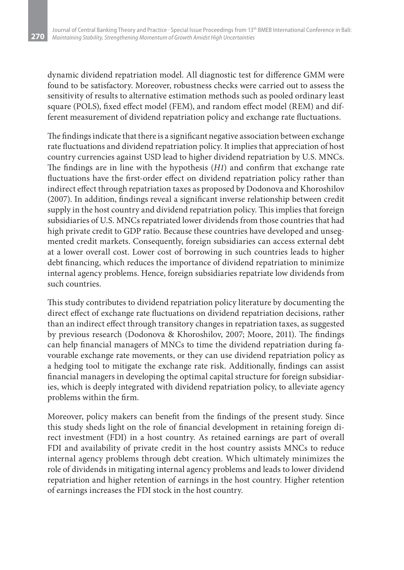**270**

dynamic dividend repatriation model. All diagnostic test for difference GMM were found to be satisfactory. Moreover, robustness checks were carried out to assess the sensitivity of results to alternative estimation methods such as pooled ordinary least square (POLS), fixed effect model (FEM), and random effect model (REM) and different measurement of dividend repatriation policy and exchange rate fluctuations.

The findings indicate that there is a significant negative association between exchange rate fluctuations and dividend repatriation policy. It implies that appreciation of host country currencies against USD lead to higher dividend repatriation by U.S. MNCs. The findings are in line with the hypothesis (*H1*) and confirm that exchange rate fluctuations have the first-order effect on dividend repatriation policy rather than indirect effect through repatriation taxes as proposed by Dodonova and Khoroshilov (2007). In addition, findings reveal a significant inverse relationship between credit supply in the host country and dividend repatriation policy. This implies that foreign subsidiaries of U.S. MNCs repatriated lower dividends from those countries that had high private credit to GDP ratio. Because these countries have developed and unsegmented credit markets. Consequently, foreign subsidiaries can access external debt at a lower overall cost. Lower cost of borrowing in such countries leads to higher debt financing, which reduces the importance of dividend repatriation to minimize internal agency problems. Hence, foreign subsidiaries repatriate low dividends from such countries.

This study contributes to dividend repatriation policy literature by documenting the direct effect of exchange rate fluctuations on dividend repatriation decisions, rather than an indirect effect through transitory changes in repatriation taxes, as suggested by previous research (Dodonova & Khoroshilov, 2007; Moore, 2011). The findings can help financial managers of MNCs to time the dividend repatriation during favourable exchange rate movements, or they can use dividend repatriation policy as a hedging tool to mitigate the exchange rate risk. Additionally, findings can assist financial managers in developing the optimal capital structure for foreign subsidiaries, which is deeply integrated with dividend repatriation policy, to alleviate agency problems within the firm.

Moreover, policy makers can benefit from the findings of the present study. Since this study sheds light on the role of financial development in retaining foreign direct investment (FDI) in a host country. As retained earnings are part of overall FDI and availability of private credit in the host country assists MNCs to reduce internal agency problems through debt creation. Which ultimately minimizes the role of dividends in mitigating internal agency problems and leads to lower dividend repatriation and higher retention of earnings in the host country. Higher retention of earnings increases the FDI stock in the host country.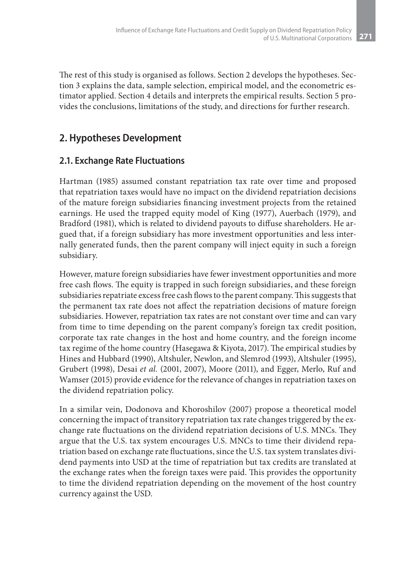The rest of this study is organised as follows. Section 2 develops the hypotheses. Section 3 explains the data, sample selection, empirical model, and the econometric estimator applied. Section 4 details and interprets the empirical results. Section 5 provides the conclusions, limitations of the study, and directions for further research.

### **2. Hypotheses Development**

### **2.1. Exchange Rate Fluctuations**

Hartman (1985) assumed constant repatriation tax rate over time and proposed that repatriation taxes would have no impact on the dividend repatriation decisions of the mature foreign subsidiaries financing investment projects from the retained earnings. He used the trapped equity model of King (1977), Auerbach (1979), and Bradford (1981), which is related to dividend payouts to diffuse shareholders. He argued that, if a foreign subsidiary has more investment opportunities and less internally generated funds, then the parent company will inject equity in such a foreign subsidiary.

However, mature foreign subsidiaries have fewer investment opportunities and more free cash flows. The equity is trapped in such foreign subsidiaries, and these foreign subsidiaries repatriate excess free cash flows to the parent company. This suggests that the permanent tax rate does not affect the repatriation decisions of mature foreign subsidiaries. However, repatriation tax rates are not constant over time and can vary from time to time depending on the parent company's foreign tax credit position, corporate tax rate changes in the host and home country, and the foreign income tax regime of the home country (Hasegawa & Kiyota, 2017). The empirical studies by Hines and Hubbard (1990), Altshuler, Newlon, and Slemrod (1993), Altshuler (1995), Grubert (1998), Desai *et al.* (2001, 2007), Moore (2011), and Egger, Merlo, Ruf and Wamser (2015) provide evidence for the relevance of changes in repatriation taxes on the dividend repatriation policy.

In a similar vein, Dodonova and Khoroshilov (2007) propose a theoretical model concerning the impact of transitory repatriation tax rate changes triggered by the exchange rate fluctuations on the dividend repatriation decisions of U.S. MNCs. They argue that the U.S. tax system encourages U.S. MNCs to time their dividend repatriation based on exchange rate fluctuations, since the U.S. tax system translates dividend payments into USD at the time of repatriation but tax credits are translated at the exchange rates when the foreign taxes were paid. This provides the opportunity to time the dividend repatriation depending on the movement of the host country currency against the USD.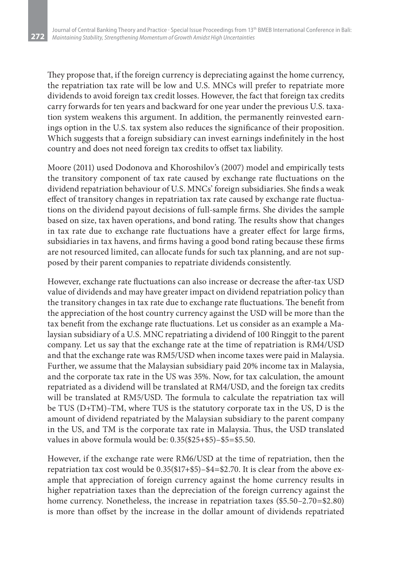**272**

They propose that, if the foreign currency is depreciating against the home currency, the repatriation tax rate will be low and U.S. MNCs will prefer to repatriate more dividends to avoid foreign tax credit losses. However, the fact that foreign tax credits carry forwards for ten years and backward for one year under the previous U.S. taxation system weakens this argument. In addition, the permanently reinvested earnings option in the U.S. tax system also reduces the significance of their proposition. Which suggests that a foreign subsidiary can invest earnings indefinitely in the host country and does not need foreign tax credits to offset tax liability.

Moore (2011) used Dodonova and Khoroshilov's (2007) model and empirically tests the transitory component of tax rate caused by exchange rate fluctuations on the dividend repatriation behaviour of U.S. MNCs' foreign subsidiaries. She finds a weak effect of transitory changes in repatriation tax rate caused by exchange rate fluctuations on the dividend payout decisions of full-sample firms. She divides the sample based on size, tax haven operations, and bond rating. The results show that changes in tax rate due to exchange rate fluctuations have a greater effect for large firms, subsidiaries in tax havens, and firms having a good bond rating because these firms are not resourced limited, can allocate funds for such tax planning, and are not supposed by their parent companies to repatriate dividends consistently.

However, exchange rate fluctuations can also increase or decrease the after-tax USD value of dividends and may have greater impact on dividend repatriation policy than the transitory changes in tax rate due to exchange rate fluctuations. The benefit from the appreciation of the host country currency against the USD will be more than the tax benefit from the exchange rate fluctuations. Let us consider as an example a Malaysian subsidiary of a U.S. MNC repatriating a dividend of 100 Ringgit to the parent company. Let us say that the exchange rate at the time of repatriation is RM4/USD and that the exchange rate was RM5/USD when income taxes were paid in Malaysia. Further, we assume that the Malaysian subsidiary paid 20% income tax in Malaysia, and the corporate tax rate in the US was 35%. Now, for tax calculation, the amount repatriated as a dividend will be translated at RM4/USD, and the foreign tax credits will be translated at RM5/USD. The formula to calculate the repatriation tax will be TUS (D+TM)–TM, where TUS is the statutory corporate tax in the US, D is the amount of dividend repatriated by the Malaysian subsidiary to the parent company in the US, and TM is the corporate tax rate in Malaysia. Thus, the USD translated values in above formula would be: 0.35(\$25+\$5)–\$5=\$5.50.

However, if the exchange rate were RM6/USD at the time of repatriation, then the repatriation tax cost would be 0.35(\$17+\$5)–\$4=\$2.70. It is clear from the above example that appreciation of foreign currency against the home currency results in higher repatriation taxes than the depreciation of the foreign currency against the home currency. Nonetheless, the increase in repatriation taxes (\$5.50–2.70=\$2.80) is more than offset by the increase in the dollar amount of dividends repatriated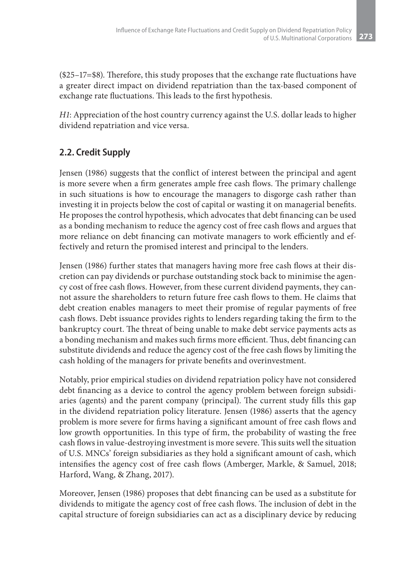(\$25–17=\$8). Therefore, this study proposes that the exchange rate fluctuations have a greater direct impact on dividend repatriation than the tax-based component of exchange rate fluctuations. This leads to the first hypothesis.

*H1*: Appreciation of the host country currency against the U.S. dollar leads to higher dividend repatriation and vice versa.

## **2.2. Credit Supply**

Jensen (1986) suggests that the conflict of interest between the principal and agent is more severe when a firm generates ample free cash flows. The primary challenge in such situations is how to encourage the managers to disgorge cash rather than investing it in projects below the cost of capital or wasting it on managerial benefits. He proposes the control hypothesis, which advocates that debt financing can be used as a bonding mechanism to reduce the agency cost of free cash flows and argues that more reliance on debt financing can motivate managers to work efficiently and effectively and return the promised interest and principal to the lenders.

Jensen (1986) further states that managers having more free cash flows at their discretion can pay dividends or purchase outstanding stock back to minimise the agency cost of free cash flows. However, from these current dividend payments, they cannot assure the shareholders to return future free cash flows to them. He claims that debt creation enables managers to meet their promise of regular payments of free cash flows. Debt issuance provides rights to lenders regarding taking the firm to the bankruptcy court. The threat of being unable to make debt service payments acts as a bonding mechanism and makes such firms more efficient. Thus, debt financing can substitute dividends and reduce the agency cost of the free cash flows by limiting the cash holding of the managers for private benefits and overinvestment.

Notably, prior empirical studies on dividend repatriation policy have not considered debt financing as a device to control the agency problem between foreign subsidiaries (agents) and the parent company (principal). The current study fills this gap in the dividend repatriation policy literature. Jensen (1986) asserts that the agency problem is more severe for firms having a significant amount of free cash flows and low growth opportunities. In this type of firm, the probability of wasting the free cash flows in value-destroying investment is more severe. This suits well the situation of U.S. MNCs' foreign subsidiaries as they hold a significant amount of cash, which intensifies the agency cost of free cash flows (Amberger, Markle, & Samuel, 2018; Harford, Wang, & Zhang, 2017).

Moreover, Jensen (1986) proposes that debt financing can be used as a substitute for dividends to mitigate the agency cost of free cash flows. The inclusion of debt in the capital structure of foreign subsidiaries can act as a disciplinary device by reducing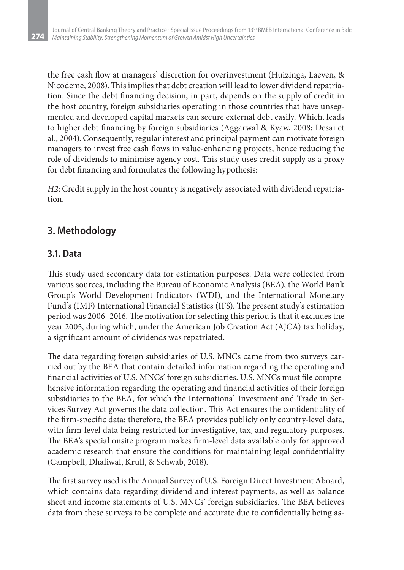the free cash flow at managers' discretion for overinvestment (Huizinga, Laeven, & Nicodeme, 2008). This implies that debt creation will lead to lower dividend repatriation. Since the debt financing decision, in part, depends on the supply of credit in the host country, foreign subsidiaries operating in those countries that have unsegmented and developed capital markets can secure external debt easily. Which, leads to higher debt financing by foreign subsidiaries (Aggarwal & Kyaw, 2008; Desai et al., 2004). Consequently, regular interest and principal payment can motivate foreign managers to invest free cash flows in value-enhancing projects, hence reducing the role of dividends to minimise agency cost. This study uses credit supply as a proxy for debt financing and formulates the following hypothesis:

*H2*: Credit supply in the host country is negatively associated with dividend repatriation.

# **3. Methodology**

### **3.1. Data**

**274**

This study used secondary data for estimation purposes. Data were collected from various sources, including the Bureau of Economic Analysis (BEA), the World Bank Group's World Development Indicators (WDI), and the International Monetary Fund's (IMF) International Financial Statistics (IFS). The present study's estimation period was 2006–2016. The motivation for selecting this period is that it excludes the year 2005, during which, under the American Job Creation Act (AJCA) tax holiday, a significant amount of dividends was repatriated.

The data regarding foreign subsidiaries of U.S. MNCs came from two surveys carried out by the BEA that contain detailed information regarding the operating and financial activities of U.S. MNCs' foreign subsidiaries. U.S. MNCs must file comprehensive information regarding the operating and financial activities of their foreign subsidiaries to the BEA, for which the International Investment and Trade in Services Survey Act governs the data collection. This Act ensures the confidentiality of the firm-specific data; therefore, the BEA provides publicly only country-level data, with firm-level data being restricted for investigative, tax, and regulatory purposes. The BEA's special onsite program makes firm-level data available only for approved academic research that ensure the conditions for maintaining legal confidentiality (Campbell, Dhaliwal, Krull, & Schwab, 2018).

The first survey used is the Annual Survey of U.S. Foreign Direct Investment Aboard, which contains data regarding dividend and interest payments, as well as balance sheet and income statements of U.S. MNCs' foreign subsidiaries. The BEA believes data from these surveys to be complete and accurate due to confidentially being as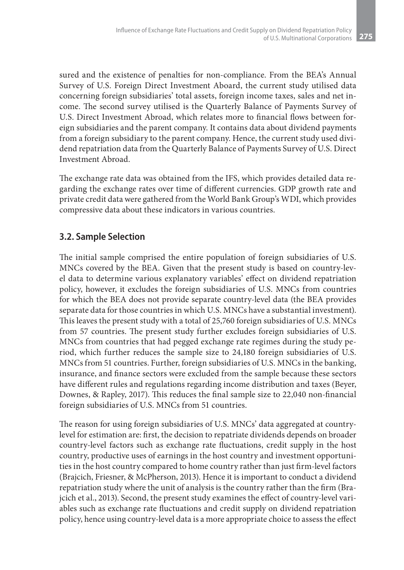sured and the existence of penalties for non-compliance. From the BEA's Annual Survey of U.S. Foreign Direct Investment Aboard, the current study utilised data concerning foreign subsidiaries' total assets, foreign income taxes, sales and net income. The second survey utilised is the Quarterly Balance of Payments Survey of U.S. Direct Investment Abroad, which relates more to financial flows between foreign subsidiaries and the parent company. It contains data about dividend payments from a foreign subsidiary to the parent company. Hence, the current study used dividend repatriation data from the Quarterly Balance of Payments Survey of U.S. Direct Investment Abroad.

The exchange rate data was obtained from the IFS, which provides detailed data regarding the exchange rates over time of different currencies. GDP growth rate and private credit data were gathered from the World Bank Group's WDI, which provides compressive data about these indicators in various countries.

### **3.2. Sample Selection**

The initial sample comprised the entire population of foreign subsidiaries of U.S. MNCs covered by the BEA. Given that the present study is based on country-level data to determine various explanatory variables' effect on dividend repatriation policy, however, it excludes the foreign subsidiaries of U.S. MNCs from countries for which the BEA does not provide separate country-level data (the BEA provides separate data for those countries in which U.S. MNCs have a substantial investment). This leaves the present study with a total of 25,760 foreign subsidiaries of U.S. MNCs from 57 countries. The present study further excludes foreign subsidiaries of U.S. MNCs from countries that had pegged exchange rate regimes during the study period, which further reduces the sample size to 24,180 foreign subsidiaries of U.S. MNCs from 51 countries. Further, foreign subsidiaries of U.S. MNCs in the banking, insurance, and finance sectors were excluded from the sample because these sectors have different rules and regulations regarding income distribution and taxes (Beyer, Downes, & Rapley, 2017). This reduces the final sample size to 22,040 non-financial foreign subsidiaries of U.S. MNCs from 51 countries.

The reason for using foreign subsidiaries of U.S. MNCs' data aggregated at countrylevel for estimation are: first, the decision to repatriate dividends depends on broader country-level factors such as exchange rate fluctuations, credit supply in the host country, productive uses of earnings in the host country and investment opportunities in the host country compared to home country rather than just firm-level factors (Brajcich, Friesner, & McPherson, 2013). Hence it is important to conduct a dividend repatriation study where the unit of analysis is the country rather than the firm (Brajcich et al., 2013). Second, the present study examines the effect of country-level variables such as exchange rate fluctuations and credit supply on dividend repatriation policy, hence using country-level data is a more appropriate choice to assess the effect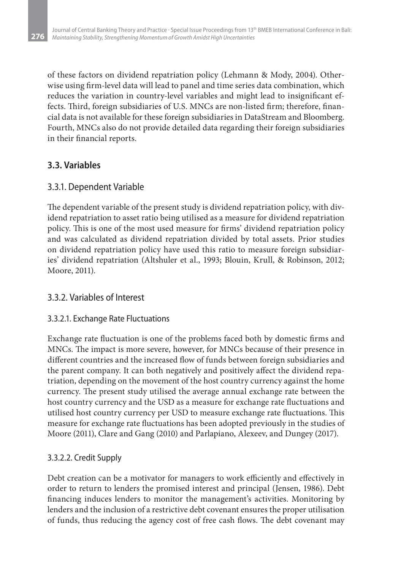of these factors on dividend repatriation policy (Lehmann & Mody, 2004). Otherwise using firm-level data will lead to panel and time series data combination, which reduces the variation in country-level variables and might lead to insignificant effects. Third, foreign subsidiaries of U.S. MNCs are non-listed firm; therefore, financial data is not available for these foreign subsidiaries in DataStream and Bloomberg. Fourth, MNCs also do not provide detailed data regarding their foreign subsidiaries in their financial reports.

### **3.3. Variables**

### 3.3.1. Dependent Variable

The dependent variable of the present study is dividend repatriation policy, with dividend repatriation to asset ratio being utilised as a measure for dividend repatriation policy. This is one of the most used measure for firms' dividend repatriation policy and was calculated as dividend repatriation divided by total assets. Prior studies on dividend repatriation policy have used this ratio to measure foreign subsidiaries' dividend repatriation (Altshuler et al., 1993; Blouin, Krull, & Robinson, 2012; Moore, 2011).

#### 3.3.2. Variables of Interest

#### 3.3.2.1. Exchange Rate Fluctuations

Exchange rate fluctuation is one of the problems faced both by domestic firms and MNCs. The impact is more severe, however, for MNCs because of their presence in different countries and the increased flow of funds between foreign subsidiaries and the parent company. It can both negatively and positively affect the dividend repatriation, depending on the movement of the host country currency against the home currency. The present study utilised the average annual exchange rate between the host country currency and the USD as a measure for exchange rate fluctuations and utilised host country currency per USD to measure exchange rate fluctuations. This measure for exchange rate fluctuations has been adopted previously in the studies of Moore (2011), Clare and Gang (2010) and Parlapiano, Alexeev, and Dungey (2017).

#### 3.3.2.2. Credit Supply

Debt creation can be a motivator for managers to work efficiently and effectively in order to return to lenders the promised interest and principal (Jensen, 1986). Debt financing induces lenders to monitor the management's activities. Monitoring by lenders and the inclusion of a restrictive debt covenant ensures the proper utilisation of funds, thus reducing the agency cost of free cash flows. The debt covenant may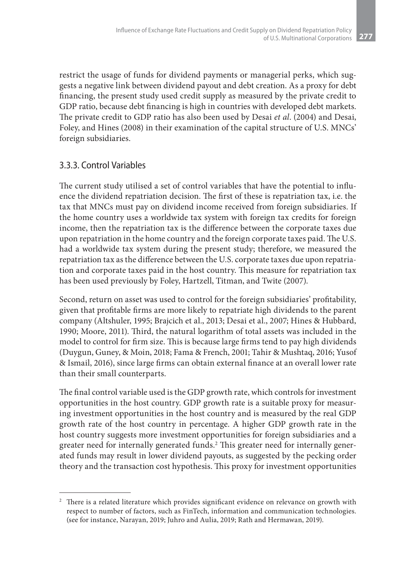restrict the usage of funds for dividend payments or managerial perks, which suggests a negative link between dividend payout and debt creation. As a proxy for debt financing, the present study used credit supply as measured by the private credit to GDP ratio, because debt financing is high in countries with developed debt markets. The private credit to GDP ratio has also been used by Desai *et al*. (2004) and Desai, Foley, and Hines (2008) in their examination of the capital structure of U.S. MNCs' foreign subsidiaries.

#### 3.3.3. Control Variables

The current study utilised a set of control variables that have the potential to influence the dividend repatriation decision. The first of these is repatriation tax, i.e. the tax that MNCs must pay on dividend income received from foreign subsidiaries. If the home country uses a worldwide tax system with foreign tax credits for foreign income, then the repatriation tax is the difference between the corporate taxes due upon repatriation in the home country and the foreign corporate taxes paid. The U.S. had a worldwide tax system during the present study; therefore, we measured the repatriation tax as the difference between the U.S. corporate taxes due upon repatriation and corporate taxes paid in the host country. This measure for repatriation tax has been used previously by Foley, Hartzell, Titman, and Twite (2007).

Second, return on asset was used to control for the foreign subsidiaries' profitability, given that profitable firms are more likely to repatriate high dividends to the parent company (Altshuler, 1995; Brajcich et al., 2013; Desai et al., 2007; Hines & Hubbard, 1990; Moore, 2011). Third, the natural logarithm of total assets was included in the model to control for firm size. This is because large firms tend to pay high dividends (Duygun, Guney, & Moin, 2018; Fama & French, 2001; Tahir & Mushtaq, 2016; Yusof & Ismail, 2016), since large firms can obtain external finance at an overall lower rate than their small counterparts.

The final control variable used is the GDP growth rate, which controls for investment opportunities in the host country. GDP growth rate is a suitable proxy for measuring investment opportunities in the host country and is measured by the real GDP growth rate of the host country in percentage. A higher GDP growth rate in the host country suggests more investment opportunities for foreign subsidiaries and a greater need for internally generated funds.<sup>2</sup> This greater need for internally generated funds may result in lower dividend payouts, as suggested by the pecking order theory and the transaction cost hypothesis. This proxy for investment opportunities

<sup>&</sup>lt;sup>2</sup> There is a related literature which provides significant evidence on relevance on growth with respect to number of factors, such as FinTech, information and communication technologies. (see for instance, Narayan, 2019; Juhro and Aulia, 2019; Rath and Hermawan, 2019).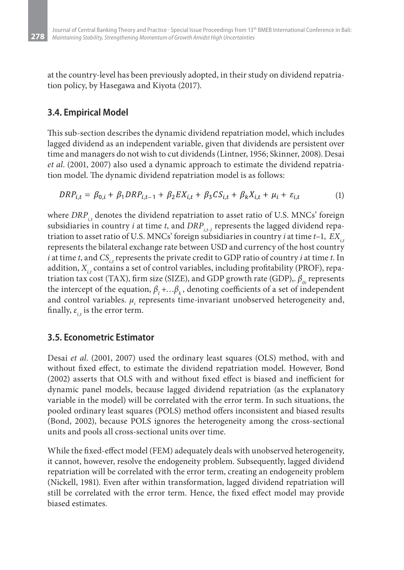at the country-level has been previously adopted, in their study on dividend repatriation policy, by Hasegawa and Kiyota (2017).

### **3.4. Empirical Model**

**278**

This sub-section describes the dynamic dividend repatriation model, which includes lagged dividend as an independent variable, given that dividends are persistent over time and managers do not wish to cut dividends (Lintner, 1956; Skinner, 2008). Desai *et al*. (2001, 2007) also used a dynamic approach to estimate the dividend repatriation model. The dynamic dividend repatriation model is as follows:

$$
DRP_{i,t} = \beta_{0,i} + \beta_1 DRP_{i,t-1} + \beta_2 EX_{i,t} + \beta_3 CS_{i,t} + \beta_k X_{i,t} + \mu_i + \varepsilon_{i,t}
$$
 (1)

where *DRP<sub>it</sub>* denotes the dividend repatriation to asset ratio of U.S. MNCs' foreign subsidiaries in country *i* at time *t*, and  $DRP_{i,t-1}$  represents the lagged dividend repatriation to asset ratio of U.S. MNCs' foreign subsidiaries in country *i* at time  $t-1$ ,  $EX_{i}$ represents the bilateral exchange rate between USD and currency of the host country *i* at time *t*, and  $CS_{i,t}$  represents the private credit to GDP ratio of country *i* at time *t*. In addition, *X<sub>it</sub>* contains a set of control variables, including profitability (PROF), repatriation tax cost (TAX), firm size (SIZE), and GDP growth rate (GDP),.  $\beta_{0i}$  represents the intercept of the equation,  $\beta_1 + \ldots \beta_k$ , denoting coefficients of a set of independent and control variables.  $\mu_{i}$  represents time-invariant unobserved heterogeneity and, finally,  $\varepsilon_{i}$  is the error term.

### **3.5. Econometric Estimator**

Desai *et al*. (2001, 2007) used the ordinary least squares (OLS) method, with and without fixed effect, to estimate the dividend repatriation model. However, Bond (2002) asserts that OLS with and without fixed effect is biased and inefficient for dynamic panel models, because lagged dividend repatriation (as the explanatory variable in the model) will be correlated with the error term. In such situations, the pooled ordinary least squares (POLS) method offers inconsistent and biased results (Bond, 2002), because POLS ignores the heterogeneity among the cross-sectional units and pools all cross-sectional units over time.

While the fixed-effect model (FEM) adequately deals with unobserved heterogeneity, it cannot, however, resolve the endogeneity problem. Subsequently, lagged dividend repatriation will be correlated with the error term, creating an endogeneity problem (Nickell, 1981). Even after within transformation, lagged dividend repatriation will still be correlated with the error term. Hence, the fixed effect model may provide biased estimates.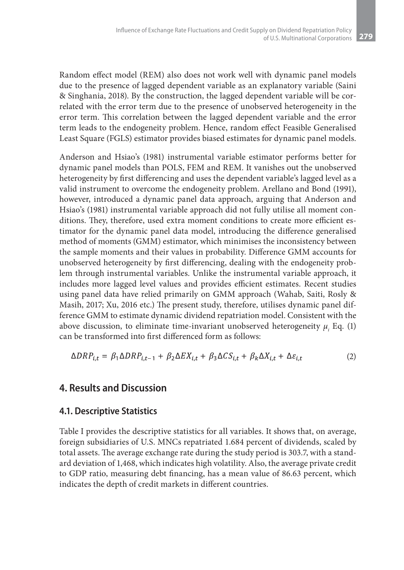Random effect model (REM) also does not work well with dynamic panel models due to the presence of lagged dependent variable as an explanatory variable (Saini & Singhania, 2018). By the construction, the lagged dependent variable will be correlated with the error term due to the presence of unobserved heterogeneity in the error term. This correlation between the lagged dependent variable and the error term leads to the endogeneity problem. Hence, random effect Feasible Generalised Least Square (FGLS) estimator provides biased estimates for dynamic panel models.

Anderson and Hsiao's (1981) instrumental variable estimator performs better for dynamic panel models than POLS, FEM and REM. It vanishes out the unobserved heterogeneity by first differencing and uses the dependent variable's lagged level as a valid instrument to overcome the endogeneity problem. Arellano and Bond (1991), however, introduced a dynamic panel data approach, arguing that Anderson and Hsiao's (1981) instrumental variable approach did not fully utilise all moment conditions. They, therefore, used extra moment conditions to create more efficient estimator for the dynamic panel data model, introducing the difference generalised method of moments (GMM) estimator, which minimises the inconsistency between the sample moments and their values in probability. Difference GMM accounts for unobserved heterogeneity by first differencing, dealing with the endogeneity problem through instrumental variables. Unlike the instrumental variable approach, it includes more lagged level values and provides efficient estimates. Recent studies using panel data have relied primarily on GMM approach (Wahab, Saiti, Rosly & Masih, 2017; Xu, 2016 etc.) The present study, therefore, utilises dynamic panel difference GMM to estimate dynamic dividend repatriation model. Consistent with the above discussion, to eliminate time-invariant unobserved heterogeneity *μi* Eq. (1) can be transformed into first differenced form as follows:

$$
\Delta DRP_{i,t} = \beta_1 \Delta DRP_{i,t-1} + \beta_2 \Delta EX_{i,t} + \beta_3 \Delta CS_{i,t} + \beta_k \Delta X_{i,t} + \Delta \varepsilon_{i,t}
$$
 (2)

#### **4. Results and Discussion**

#### **4.1. Descriptive Statistics**

Table I provides the descriptive statistics for all variables. It shows that, on average, foreign subsidiaries of U.S. MNCs repatriated 1.684 percent of dividends, scaled by total assets. The average exchange rate during the study period is 303.7, with a standard deviation of 1,468, which indicates high volatility. Also, the average private credit to GDP ratio, measuring debt financing, has a mean value of 86.63 percent, which indicates the depth of credit markets in different countries.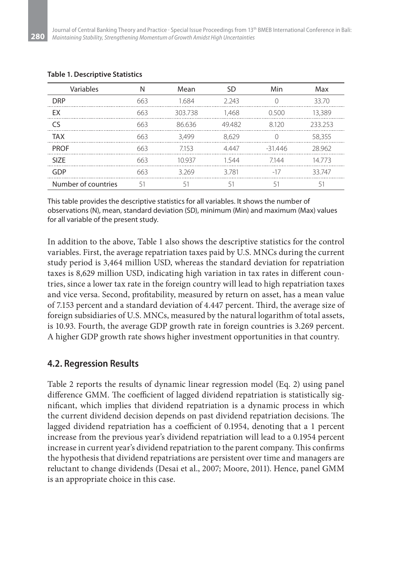| Variables           | N   | Mean    | <b>SD</b> | Min      | Max     |
|---------------------|-----|---------|-----------|----------|---------|
| <b>DRP</b>          | 663 | 1684    | 2.243     |          | 33.70   |
| EX                  | 663 | 303.738 | 1,468     | 0.500    | 13,389  |
| C٢                  | 663 | 86636   | 49482     | 8120     | 233 253 |
| <b>TAX</b>          | 663 | 3.499   | 8.629     |          | 58,355  |
| <b>PROF</b>         | 663 | 7153    | 4447      | $-31446$ | 28962   |
| SI <sub>7</sub> F   | 663 | 10937   | 1544      | 7144     | 14773   |
| GDP                 | 663 | 3269    | 3781      | $-17$    | 33 747  |
| Number of countries | 51  | 51      | 51        | 51       | 51      |

#### **Table 1. Descriptive Statistics**

**280**

This table provides the descriptive statistics for all variables. It shows the number of observations (N), mean, standard deviation (SD), minimum (Min) and maximum (Max) values for all variable of the present study.

In addition to the above, Table 1 also shows the descriptive statistics for the control variables. First, the average repatriation taxes paid by U.S. MNCs during the current study period is 3,464 million USD, whereas the standard deviation for repatriation taxes is 8,629 million USD, indicating high variation in tax rates in different countries, since a lower tax rate in the foreign country will lead to high repatriation taxes and vice versa. Second, profitability, measured by return on asset, has a mean value of 7.153 percent and a standard deviation of 4.447 percent. Third, the average size of foreign subsidiaries of U.S. MNCs, measured by the natural logarithm of total assets, is 10.93. Fourth, the average GDP growth rate in foreign countries is 3.269 percent. A higher GDP growth rate shows higher investment opportunities in that country.

#### **4.2. Regression Results**

Table 2 reports the results of dynamic linear regression model (Eq. 2) using panel difference GMM. The coefficient of lagged dividend repatriation is statistically significant, which implies that dividend repatriation is a dynamic process in which the current dividend decision depends on past dividend repatriation decisions. The lagged dividend repatriation has a coefficient of 0.1954, denoting that a 1 percent increase from the previous year's dividend repatriation will lead to a 0.1954 percent increase in current year's dividend repatriation to the parent company. This confirms the hypothesis that dividend repatriations are persistent over time and managers are reluctant to change dividends (Desai et al., 2007; Moore, 2011). Hence, panel GMM is an appropriate choice in this case.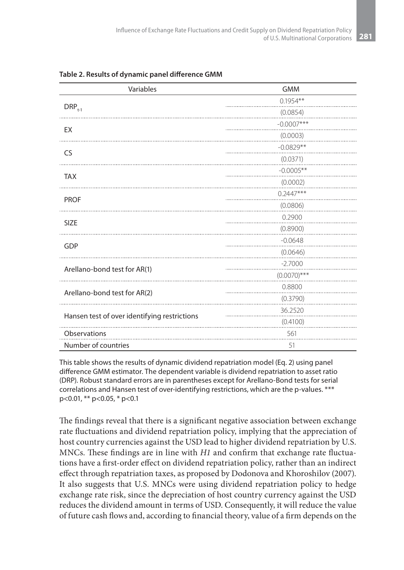| Variables                                    | <b>GMM</b>     |
|----------------------------------------------|----------------|
|                                              | $0.1954**$     |
| $\text{DRP}_{t-1}$                           | (0.0854)       |
| EX                                           | $-0.0007***$   |
|                                              | (0.0003)       |
| <b>CS</b>                                    | $-0.0829**$    |
|                                              | (0.0371)       |
| <b>TAX</b>                                   | $-0.0005**$    |
|                                              | (0.0002)       |
| <b>PROF</b>                                  | $0.2447***$    |
|                                              | (0.0806)       |
| <b>SIZE</b>                                  | 0.2900         |
|                                              | (0.8900)       |
| GDP                                          | $-0.0648$      |
|                                              | (0.0646)       |
| Arellano-bond test for AR(1)                 | $-2.7000$      |
|                                              | $(0.0070)$ *** |
| Arellano-bond test for AR(2)                 | 0.8800         |
|                                              | (0.3790)       |
| Hansen test of over identifying restrictions | 36.2520        |
|                                              | (0.4100)       |
| Observations                                 | 561            |
| Number of countries                          | 51             |

**Table 2. Results of dynamic panel difference GMM**

This table shows the results of dynamic dividend repatriation model (Eq. 2) using panel difference GMM estimator. The dependent variable is dividend repatriation to asset ratio (DRP). Robust standard errors are in parentheses except for Arellano-Bond tests for serial correlations and Hansen test of over-identifying restrictions, which are the p-values. \*\*\* p<0.01, \*\* p<0.05, \* p<0.1

The findings reveal that there is a significant negative association between exchange rate fluctuations and dividend repatriation policy, implying that the appreciation of host country currencies against the USD lead to higher dividend repatriation by U.S. MNCs. These findings are in line with *H1* and confirm that exchange rate fluctuations have a first-order effect on dividend repatriation policy, rather than an indirect effect through repatriation taxes, as proposed by Dodonova and Khoroshilov (2007). It also suggests that U.S. MNCs were using dividend repatriation policy to hedge exchange rate risk, since the depreciation of host country currency against the USD reduces the dividend amount in terms of USD. Consequently, it will reduce the value of future cash flows and, according to financial theory, value of a firm depends on the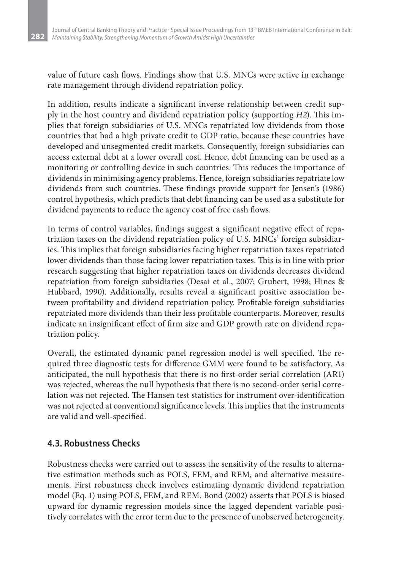value of future cash flows. Findings show that U.S. MNCs were active in exchange rate management through dividend repatriation policy.

In addition, results indicate a significant inverse relationship between credit supply in the host country and dividend repatriation policy (supporting *H2*). This implies that foreign subsidiaries of U.S. MNCs repatriated low dividends from those countries that had a high private credit to GDP ratio, because these countries have developed and unsegmented credit markets. Consequently, foreign subsidiaries can access external debt at a lower overall cost. Hence, debt financing can be used as a monitoring or controlling device in such countries. This reduces the importance of dividends in minimising agency problems. Hence, foreign subsidiaries repatriate low dividends from such countries. These findings provide support for Jensen's (1986) control hypothesis, which predicts that debt financing can be used as a substitute for dividend payments to reduce the agency cost of free cash flows.

In terms of control variables, findings suggest a significant negative effect of repatriation taxes on the dividend repatriation policy of U.S. MNCs' foreign subsidiaries. This implies that foreign subsidiaries facing higher repatriation taxes repatriated lower dividends than those facing lower repatriation taxes. This is in line with prior research suggesting that higher repatriation taxes on dividends decreases dividend repatriation from foreign subsidiaries (Desai et al., 2007; Grubert, 1998; Hines & Hubbard, 1990). Additionally, results reveal a significant positive association between profitability and dividend repatriation policy. Profitable foreign subsidiaries repatriated more dividends than their less profitable counterparts. Moreover, results indicate an insignificant effect of firm size and GDP growth rate on dividend repatriation policy.

Overall, the estimated dynamic panel regression model is well specified. The required three diagnostic tests for difference GMM were found to be satisfactory. As anticipated, the null hypothesis that there is no first-order serial correlation (AR1) was rejected, whereas the null hypothesis that there is no second-order serial correlation was not rejected. The Hansen test statistics for instrument over-identification was not rejected at conventional significance levels. This implies that the instruments are valid and well-specified.

### **4.3. Robustness Checks**

Robustness checks were carried out to assess the sensitivity of the results to alternative estimation methods such as POLS, FEM, and REM, and alternative measurements. First robustness check involves estimating dynamic dividend repatriation model (Eq. 1) using POLS, FEM, and REM. Bond (2002) asserts that POLS is biased upward for dynamic regression models since the lagged dependent variable positively correlates with the error term due to the presence of unobserved heterogeneity.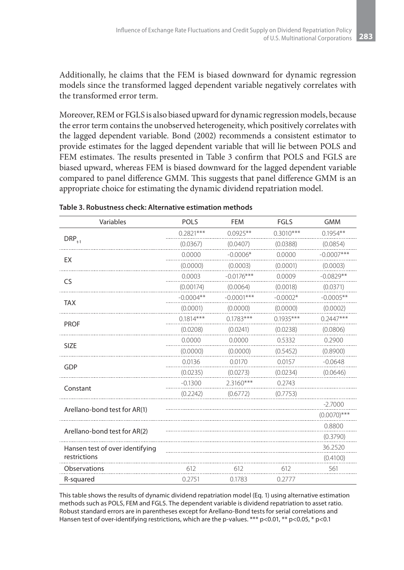Additionally, he claims that the FEM is biased downward for dynamic regression models since the transformed lagged dependent variable negatively correlates with the transformed error term.

Moreover, REM or FGLS is also biased upward for dynamic regression models, because the error term contains the unobserved heterogeneity, which positively correlates with the lagged dependent variable. Bond (2002) recommends a consistent estimator to provide estimates for the lagged dependent variable that will lie between POLS and FEM estimates. The results presented in Table 3 confirm that POLS and FGLS are biased upward, whereas FEM is biased downward for the lagged dependent variable compared to panel difference GMM. This suggests that panel difference GMM is an appropriate choice for estimating the dynamic dividend repatriation model.

| Variables                       | <b>POLS</b> | <b>FEM</b>   | <b>FGLS</b> | <b>GMM</b>     |
|---------------------------------|-------------|--------------|-------------|----------------|
|                                 | $0.2821***$ | $0.0925**$   | $0.3010***$ | $0.1954**$     |
| $\mathsf{DRP}_{t\text{-}1}$     | (0.0367)    | (0.0407)     | (0.0388)    | (0.0854)       |
|                                 | 0.0000      | $-0.0006*$   | 0.0000      | $-0.0007***$   |
| EX                              | (0.0000)    | (0.0003)     | (0.0001)    | (0.0003)       |
| CS                              | 0.0003      | $-0.0176***$ | 0.0009      | $-0.0829**$    |
|                                 | (0.00174)   | (0.0064)     | (0.0018)    | (0.0371)       |
| <b>TAX</b>                      | $-0.0004**$ | $-0.0001***$ | $-0.0002*$  | $-0.0005**$    |
|                                 | (0.0001)    | (0.0000)     | (0.0000)    | (0.0002)       |
| <b>PROF</b>                     | $0.1814***$ | $0.1783***$  | $0.1935***$ | $0.2447***$    |
|                                 | (0.0208)    | (0.0241)     | (0.0238)    | (0.0806)       |
| <b>SIZE</b>                     | 0.0000      | 0.0000       | 0.5332      | 0.2900         |
|                                 | (0.0000)    | (0.0000)     | (0.5452)    | (0.8900)       |
| <b>GDP</b>                      | 0.0136      | 0.0170       | 0.0157      | $-0.0648$      |
|                                 | (0.0235)    | (0.0273)     | (0.0234)    | (0.0646)       |
| Constant                        | $-0.1300$   | $2.3160***$  | 0.2743      |                |
|                                 | (0.2242)    | (0.6772)     | (0.7753)    |                |
|                                 |             |              |             | $-2.7000$      |
| Arellano-bond test for AR(1)    |             |              |             | $(0.0070)$ *** |
| Arellano-bond test for AR(2)    |             |              |             | 0.8800         |
|                                 |             |              |             | (0.3790)       |
| Hansen test of over identifying |             |              |             | 36.2520        |
| restrictions                    |             |              |             | (0.4100)       |
| Observations                    | 612         | 612          | 612         | 561            |
| R-squared                       | 0.2751      | 0.1783       | 0.2777      |                |

#### **Table 3. Robustness check: Alternative estimation methods**

This table shows the results of dynamic dividend repatriation model (Eq. 1) using alternative estimation methods such as POLS, FEM and FGLS. The dependent variable is dividend repatriation to asset ratio. Robust standard errors are in parentheses except for Arellano-Bond tests for serial correlations and Hansen test of over-identifying restrictions, which are the p-values. \*\*\* p<0.01, \*\* p<0.05, \* p<0.1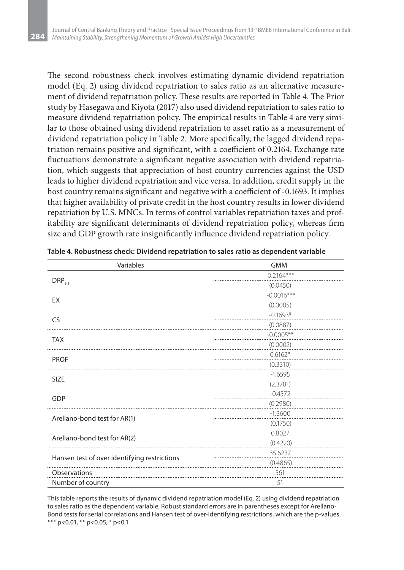The second robustness check involves estimating dynamic dividend repatriation model (Eq. 2) using dividend repatriation to sales ratio as an alternative measurement of dividend repatriation policy. These results are reported in Table 4. The Prior study by Hasegawa and Kiyota (2017) also used dividend repatriation to sales ratio to measure dividend repatriation policy. The empirical results in Table 4 are very similar to those obtained using dividend repatriation to asset ratio as a measurement of dividend repatriation policy in Table 2. More specifically, the lagged dividend repatriation remains positive and significant, with a coefficient of 0.2164. Exchange rate fluctuations demonstrate a significant negative association with dividend repatriation, which suggests that appreciation of host country currencies against the USD leads to higher dividend repatriation and vice versa. In addition, credit supply in the host country remains significant and negative with a coefficient of -0.1693. It implies that higher availability of private credit in the host country results in lower dividend repatriation by U.S. MNCs. In terms of control variables repatriation taxes and profitability are significant determinants of dividend repatriation policy, whereas firm size and GDP growth rate insignificantly influence dividend repatriation policy.

| Variables                                    | <b>GMM</b>   |
|----------------------------------------------|--------------|
|                                              | $0.2164***$  |
| $DRP_{t-1}$                                  | (0.0450)     |
| EX                                           | $-0.0016***$ |
|                                              | (0.0005)     |
| <b>CS</b>                                    | $-0.1693*$   |
|                                              | (0.0887)     |
| <b>TAX</b>                                   | $-0.0005**$  |
|                                              | (0.0002)     |
| <b>PROF</b>                                  | $0.6162*$    |
|                                              | (0.3310)     |
| <b>SIZE</b>                                  | $-1.6595$    |
|                                              | (2.3781)     |
| GDP                                          | $-0.4572$    |
|                                              | (0.2980)     |
| Arellano-bond test for AR(1)                 | $-1.3600$    |
|                                              | (0.1750)     |
| Arellano-bond test for AR(2)                 | 0.8027       |
|                                              | (0.4220)     |
| Hansen test of over identifying restrictions | 35.6237      |
|                                              | (0.4865)     |
| Observations                                 | 561          |
| Number of country                            | 51           |

**Table 4. Robustness check: Dividend repatriation to sales ratio as dependent variable**

This table reports the results of dynamic dividend repatriation model (Eq. 2) using dividend repatriation to sales ratio as the dependent variable. Robust standard errors are in parentheses except for Arellano-Bond tests for serial correlations and Hansen test of over-identifying restrictions, which are the p-values. \*\*\* p<0.01, \*\* p<0.05, \* p<0.1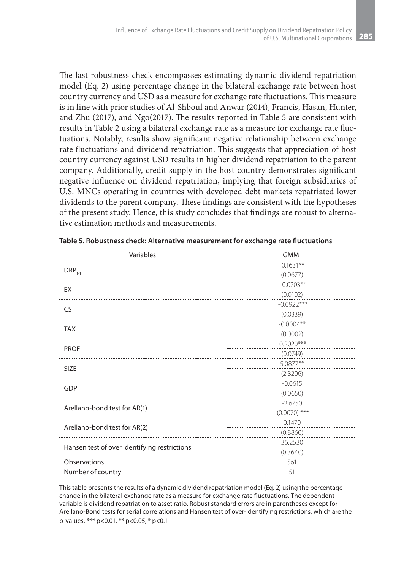The last robustness check encompasses estimating dynamic dividend repatriation model (Eq. 2) using percentage change in the bilateral exchange rate between host country currency and USD as a measure for exchange rate fluctuations. This measure is in line with prior studies of Al-Shboul and Anwar (2014), Francis, Hasan, Hunter, and Zhu (2017), and Ngo(2017). The results reported in Table 5 are consistent with results in Table 2 using a bilateral exchange rate as a measure for exchange rate fluctuations. Notably, results show significant negative relationship between exchange rate fluctuations and dividend repatriation. This suggests that appreciation of host country currency against USD results in higher dividend repatriation to the parent company. Additionally, credit supply in the host country demonstrates significant negative influence on dividend repatriation, implying that foreign subsidiaries of U.S. MNCs operating in countries with developed debt markets repatriated lower dividends to the parent company. These findings are consistent with the hypotheses of the present study. Hence, this study concludes that findings are robust to alternative estimation methods and measurements.

| Variables                                    | <b>GMM</b>     |
|----------------------------------------------|----------------|
|                                              | $0.1631**$     |
| $DRP_{t-1}$                                  | (0.0677)       |
| EX                                           | $-0.0203**$    |
|                                              | (0.0102)       |
| CS                                           | $-0.0922***$   |
|                                              | (0.0339)       |
| <b>TAX</b>                                   | $-0.0004**$    |
|                                              | (0.0002)       |
| <b>PROF</b>                                  | $0.2020***$    |
|                                              | (0.0749)       |
| <b>SIZE</b>                                  | 5.0877**       |
|                                              | (2.3206)       |
| GDP                                          | $-0.0615$      |
|                                              | (0.0650)       |
| Arellano-bond test for AR(1)                 | $-2.6750$      |
|                                              | $(0.0070)$ *** |
| Arellano-bond test for AR(2)                 | 0.1470         |
|                                              | (0.8860)       |
| Hansen test of over identifying restrictions | 36.2530        |
|                                              | (0.3640)       |
| Observations                                 | 561            |
| Number of country                            | 51             |

**Table 5. Robustness check: Alternative measurement for exchange rate fluctuations** 

This table presents the results of a dynamic dividend repatriation model (Eq. 2) using the percentage change in the bilateral exchange rate as a measure for exchange rate fluctuations. The dependent variable is dividend repatriation to asset ratio. Robust standard errors are in parentheses except for Arellano-Bond tests for serial correlations and Hansen test of over-identifying restrictions, which are the p-values. \*\*\* p<0.01, \*\* p<0.05, \* p<0.1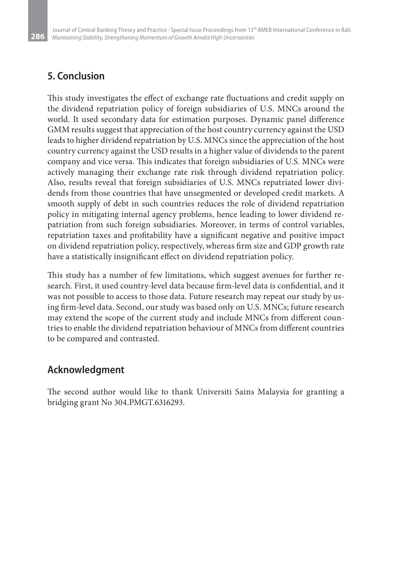### **5. Conclusion**

This study investigates the effect of exchange rate fluctuations and credit supply on the dividend repatriation policy of foreign subsidiaries of U.S. MNCs around the world. It used secondary data for estimation purposes. Dynamic panel difference GMM results suggest that appreciation of the host country currency against the USD leads to higher dividend repatriation by U.S. MNCs since the appreciation of the host country currency against the USD results in a higher value of dividends to the parent company and vice versa. This indicates that foreign subsidiaries of U.S. MNCs were actively managing their exchange rate risk through dividend repatriation policy. Also, results reveal that foreign subsidiaries of U.S. MNCs repatriated lower dividends from those countries that have unsegmented or developed credit markets. A smooth supply of debt in such countries reduces the role of dividend repatriation policy in mitigating internal agency problems, hence leading to lower dividend repatriation from such foreign subsidiaries. Moreover, in terms of control variables, repatriation taxes and profitability have a significant negative and positive impact on dividend repatriation policy, respectively, whereas firm size and GDP growth rate have a statistically insignificant effect on dividend repatriation policy.

This study has a number of few limitations, which suggest avenues for further research. First, it used country-level data because firm-level data is confidential, and it was not possible to access to those data. Future research may repeat our study by using firm-level data. Second, our study was based only on U.S. MNCs; future research may extend the scope of the current study and include MNCs from different countries to enable the dividend repatriation behaviour of MNCs from different countries to be compared and contrasted.

## **Acknowledgment**

The second author would like to thank Universiti Sains Malaysia for granting a bridging grant No 304.PMGT.6316293.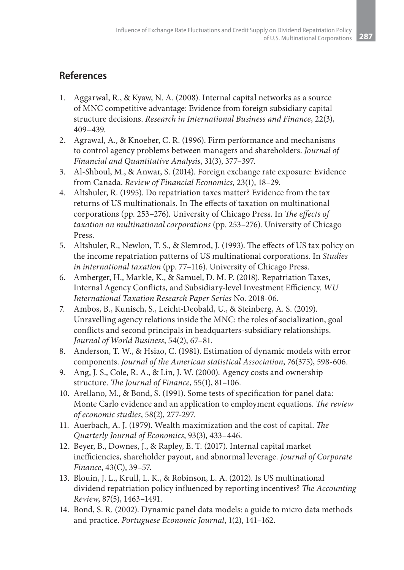### **References**

- 1. Aggarwal, R., & Kyaw, N. A. (2008). Internal capital networks as a source of MNC competitive advantage: Evidence from foreign subsidiary capital structure decisions. *Research in International Business and Finance*, 22(3), 409–439.
- 2. Agrawal, A., & Knoeber, C. R. (1996). Firm performance and mechanisms to control agency problems between managers and shareholders. *Journal of Financial and Quantitative Analysis*, 31(3), 377–397.
- 3. Al-Shboul, M., & Anwar, S. (2014). Foreign exchange rate exposure: Evidence from Canada. *Review of Financial Economics*, 23(1), 18–29.
- 4. Altshuler, R. (1995). Do repatriation taxes matter? Evidence from the tax returns of US multinationals. In The effects of taxation on multinational corporations (pp. 253–276). University of Chicago Press. In *The effects of taxation on multinational corporations* (pp. 253–276). University of Chicago Press.
- 5. Altshuler, R., Newlon, T. S., & Slemrod, J. (1993). The effects of US tax policy on the income repatriation patterns of US multinational corporations. In *Studies in international taxation* (pp. 77–116). University of Chicago Press.
- 6. Amberger, H., Markle, K., & Samuel, D. M. P. (2018). Repatriation Taxes, Internal Agency Conflicts, and Subsidiary-level Investment Efficiency. *WU International Taxation Research Paper Series* No. 2018-06.
- 7. Ambos, B., Kunisch, S., Leicht-Deobald, U., & Steinberg, A. S. (2019). Unravelling agency relations inside the MNC: the roles of socialization, goal conflicts and second principals in headquarters-subsidiary relationships. *Journal of World Business*, 54(2), 67–81.
- 8. Anderson, T. W., & Hsiao, C. (1981). Estimation of dynamic models with error components. *Journal of the American statistical Association*, 76(375), 598-606.
- 9. Ang, J. S., Cole, R. A., & Lin, J. W. (2000). Agency costs and ownership structure. *The Journal of Finance*, 55(1), 81–106.
- 10. Arellano, M., & Bond, S. (1991). Some tests of specification for panel data: Monte Carlo evidence and an application to employment equations. *The review of economic studies*, 58(2), 277-297.
- 11. Auerbach, A. J. (1979). Wealth maximization and the cost of capital. *The Quarterly Journal of Economics*, 93(3), 433–446.
- 12. Beyer, B., Downes, J., & Rapley, E. T. (2017). Internal capital market inefficiencies, shareholder payout, and abnormal leverage. *Journal of Corporate Finance*, 43(C), 39–57.
- 13. Blouin, J. L., Krull, L. K., & Robinson, L. A. (2012). Is US multinational dividend repatriation policy influenced by reporting incentives? *The Accounting Review*, 87(5), 1463–1491.
- 14. Bond, S. R. (2002). Dynamic panel data models: a guide to micro data methods and practice. *Portuguese Economic Journal*, 1(2), 141–162.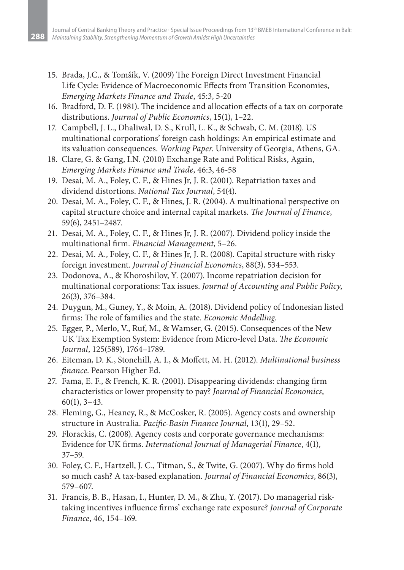- 15. Brada, J.C., & Tomšík, V. (2009) The Foreign Direct Investment Financial Life Cycle: Evidence of Macroeconomic Effects from Transition Economies, *Emerging Markets Finance and Trade*, 45:3, 5-20
- 16. Bradford, D. F. (1981). The incidence and allocation effects of a tax on corporate distributions. *Journal of Public Economics*, 15(1), 1–22.
- 17. Campbell, J. L., Dhaliwal, D. S., Krull, L. K., & Schwab, C. M. (2018). US multinational corporations' foreign cash holdings: An empirical estimate and its valuation consequences. *Working Paper*. University of Georgia, Athens, GA.
- 18. Clare, G. & Gang, I.N. (2010) Exchange Rate and Political Risks, Again, *Emerging Markets Finance and Trade*, 46:3, 46-58
- 19. Desai, M. A., Foley, C. F., & Hines Jr, J. R. (2001). Repatriation taxes and dividend distortions. *National Tax Journal*, 54(4).
- 20. Desai, M. A., Foley, C. F., & Hines, J. R. (2004). A multinational perspective on capital structure choice and internal capital markets. *The Journal of Finance*, 59(6), 2451–2487.
- 21. Desai, M. A., Foley, C. F., & Hines Jr, J. R. (2007). Dividend policy inside the multinational firm. *Financial Management*, 5–26.
- 22. Desai, M. A., Foley, C. F., & Hines Jr, J. R. (2008). Capital structure with risky foreign investment. *Journal of Financial Economics*, 88(3), 534–553.
- 23. Dodonova, A., & Khoroshilov, Y. (2007). Income repatriation decision for multinational corporations: Tax issues. *Journal of Accounting and Public Policy*, 26(3), 376–384.
- 24. Duygun, M., Guney, Y., & Moin, A. (2018). Dividend policy of Indonesian listed firms: The role of families and the state. *Economic Modelling*.
- 25. Egger, P., Merlo, V., Ruf, M., & Wamser, G. (2015). Consequences of the New UK Tax Exemption System: Evidence from Micro‐level Data. *The Economic Journal*, 125(589), 1764–1789.
- 26. Eiteman, D. K., Stonehill, A. I., & Moffett, M. H. (2012). *Multinational business finance*. Pearson Higher Ed.
- 27. Fama, E. F., & French, K. R. (2001). Disappearing dividends: changing firm characteristics or lower propensity to pay? *Journal of Financial Economics*, 60(1), 3–43.
- 28. Fleming, G., Heaney, R., & McCosker, R. (2005). Agency costs and ownership structure in Australia. *Pacific-Basin Finance Journal*, 13(1), 29–52.
- 29. Florackis, C. (2008). Agency costs and corporate governance mechanisms: Evidence for UK firms. *International Journal of Managerial Finance*, 4(1), 37–59.
- 30. Foley, C. F., Hartzell, J. C., Titman, S., & Twite, G. (2007). Why do firms hold so much cash? A tax-based explanation. *Journal of Financial Economics*, 86(3), 579–607.
- 31. Francis, B. B., Hasan, I., Hunter, D. M., & Zhu, Y. (2017). Do managerial risktaking incentives influence firms' exchange rate exposure? *Journal of Corporate Finance*, 46, 154–169.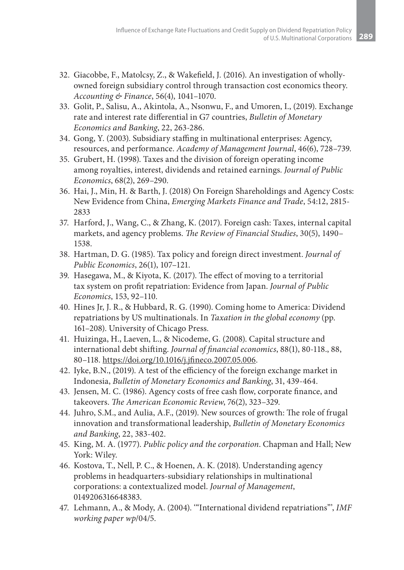- 32. Giacobbe, F., Matolcsy, Z., & Wakefield, J. (2016). An investigation of wholly‐ owned foreign subsidiary control through transaction cost economics theory. *Accounting & Finance*, 56(4), 1041–1070.
- 33. Golit, P., Salisu, A., Akintola, A., Nsonwu, F., and Umoren, I., (2019). Exchange rate and interest rate differential in G7 countries, *Bulletin of Monetary Economics and Banking*, 22, 263-286.
- 34. Gong, Y. (2003). Subsidiary staffing in multinational enterprises: Agency, resources, and performance. *Academy of Management Journal*, 46(6), 728–739.
- 35. Grubert, H. (1998). Taxes and the division of foreign operating income among royalties, interest, dividends and retained earnings. *Journal of Public Economics*, 68(2), 269–290.
- 36. Hai, J., Min, H. & Barth, J. (2018) On Foreign Shareholdings and Agency Costs: New Evidence from China, *Emerging Markets Finance and Trade*, 54:12, 2815- 2833
- 37. Harford, J., Wang, C., & Zhang, K. (2017). Foreign cash: Taxes, internal capital markets, and agency problems. *The Review of Financial Studies*, 30(5), 1490– 1538.
- 38. Hartman, D. G. (1985). Tax policy and foreign direct investment. *Journal of Public Economics*, 26(1), 107–121.
- 39. Hasegawa, M., & Kiyota, K. (2017). The effect of moving to a territorial tax system on profit repatriation: Evidence from Japan. *Journal of Public Economics*, 153, 92–110.
- 40. Hines Jr, J. R., & Hubbard, R. G. (1990). Coming home to America: Dividend repatriations by US multinationals. In *Taxation in the global economy* (pp. 161–208). University of Chicago Press.
- 41. Huizinga, H., Laeven, L., & Nicodeme, G. (2008). Capital structure and international debt shifting. *Journal of financial economics*, 88(1), 80-118., 88, 80–118. https://doi.org/10.1016/j.jfineco.2007.05.006.
- 42. Iyke, B.N., (2019). A test of the efficiency of the foreign exchange market in Indonesia, *Bulletin of Monetary Economics and Banking*, 31, 439-464.
- 43. Jensen, M. C. (1986). Agency costs of free cash flow, corporate finance, and takeovers. *The American Economic Review*, 76(2), 323–329.
- 44. Juhro, S.M., and Aulia, A.F., (2019). New sources of growth: The role of frugal innovation and transformational leadership, *Bulletin of Monetary Economics and Banking*, 22, 383-402.
- 45. King, M. A. (1977). *Public policy and the corporation*. Chapman and Hall; New York: Wiley.
- 46. Kostova, T., Nell, P. C., & Hoenen, A. K. (2018). Understanding agency problems in headquarters-subsidiary relationships in multinational corporations: a contextualized model. *Journal of Management*, 0149206316648383.
- 47. Lehmann, A., & Mody, A. (2004). '"International dividend repatriations"', *IMF working paper wp*/04/5.